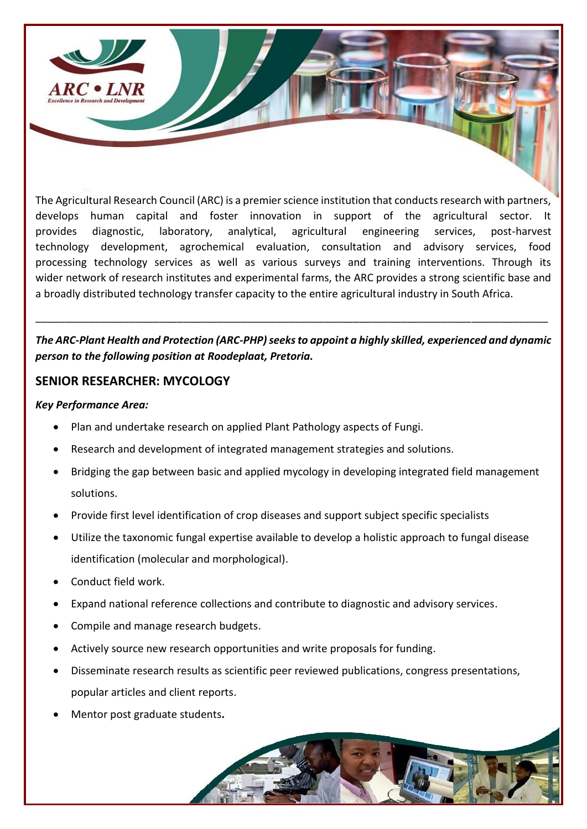

The Agricultural Research Council (ARC) is a premier science institution that conducts research with partners, develops human capital and foster innovation in support of the agricultural sector. It provides diagnostic, laboratory, analytical, agricultural engineering services, post-harvest technology development, agrochemical evaluation, consultation and advisory services, food processing technology services as well as various surveys and training interventions. Through its wider network of research institutes and experimental farms, the ARC provides a strong scientific base and a broadly distributed technology transfer capacity to the entire agricultural industry in South Africa.

## *The ARC-Plant Health and Protection (ARC-PHP)seeks to appoint a highly skilled, experienced and dynamic person to the following position at Roodeplaat, Pretoria.*

\_\_\_\_\_\_\_\_\_\_\_\_\_\_\_\_\_\_\_\_\_\_\_\_\_\_\_\_\_\_\_\_\_\_\_\_\_\_\_\_\_\_\_\_\_\_\_\_\_\_\_\_\_\_\_\_\_\_\_\_\_\_\_\_\_\_\_\_\_\_\_\_\_\_\_\_\_\_\_\_\_\_\_\_\_\_\_

## **SENIOR RESEARCHER: MYCOLOGY**

### *Key Performance Area:*

- Plan and undertake research on applied Plant Pathology aspects of Fungi.
- Research and development of integrated management strategies and solutions.
- Bridging the gap between basic and applied mycology in developing integrated field management solutions.
- Provide first level identification of crop diseases and support subject specific specialists
- Utilize the taxonomic fungal expertise available to develop a holistic approach to fungal disease identification (molecular and morphological).
- Conduct field work.
- Expand national reference collections and contribute to diagnostic and advisory services.
- Compile and manage research budgets.
- Actively source new research opportunities and write proposals for funding.
- Disseminate research results as scientific peer reviewed publications, congress presentations, popular articles and client reports.
- Mentor post graduate students**.**